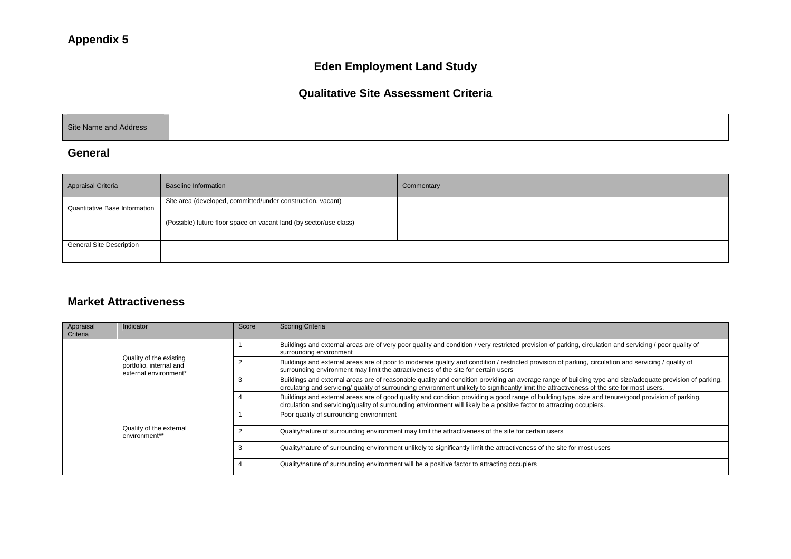# **Eden Employment Land Study**

#### **Qualitative Site Assessment Criteria**

|--|

#### **General**

| <b>Appraisal Criteria</b>            | <b>Baseline Information</b>                                        | Commentary |
|--------------------------------------|--------------------------------------------------------------------|------------|
| <b>Quantitative Base Information</b> | Site area (developed, committed/under construction, vacant)        |            |
|                                      | (Possible) future floor space on vacant land (by sector/use class) |            |
| <b>General Site Description</b>      |                                                                    |            |

#### **Market Attractiveness**

| Appraisal<br>Criteria | Indicator                                                                   | Score | Scoring Criteria                                                                                                                                                                                                                                                                                         |
|-----------------------|-----------------------------------------------------------------------------|-------|----------------------------------------------------------------------------------------------------------------------------------------------------------------------------------------------------------------------------------------------------------------------------------------------------------|
|                       |                                                                             |       | Buildings and external areas are of very poor quality and condition / very restricted provision of parking, circulation and servicing / poor quality of<br>surrounding environment                                                                                                                       |
|                       | Quality of the existing<br>portfolio, internal and<br>external environment* |       | Buildings and external areas are of poor to moderate quality and condition / restricted provision of parking, circulation and servicing / quality of<br>surrounding environment may limit the attractiveness of the site for certain users                                                               |
|                       |                                                                             |       | Buildings and external areas are of reasonable quality and condition providing an average range of building type and size/adequate provision of parking,<br>circulating and servicing/ quality of surrounding environment unlikely to significantly limit the attractiveness of the site for most users. |
|                       |                                                                             |       | Buildings and external areas are of good quality and condition providing a good range of building type, size and tenure/good provision of parking,<br>circulation and servicing/quality of surrounding environment will likely be a positive factor to attracting occupiers.                             |
|                       |                                                                             |       | Poor quality of surrounding environment                                                                                                                                                                                                                                                                  |
|                       | Quality of the external<br>environment**                                    |       | Quality/nature of surrounding environment may limit the attractiveness of the site for certain users                                                                                                                                                                                                     |
|                       |                                                                             |       | Quality/nature of surrounding environment unlikely to significantly limit the attractiveness of the site for most users                                                                                                                                                                                  |
|                       |                                                                             |       | Quality/nature of surrounding environment will be a positive factor to attracting occupiers                                                                                                                                                                                                              |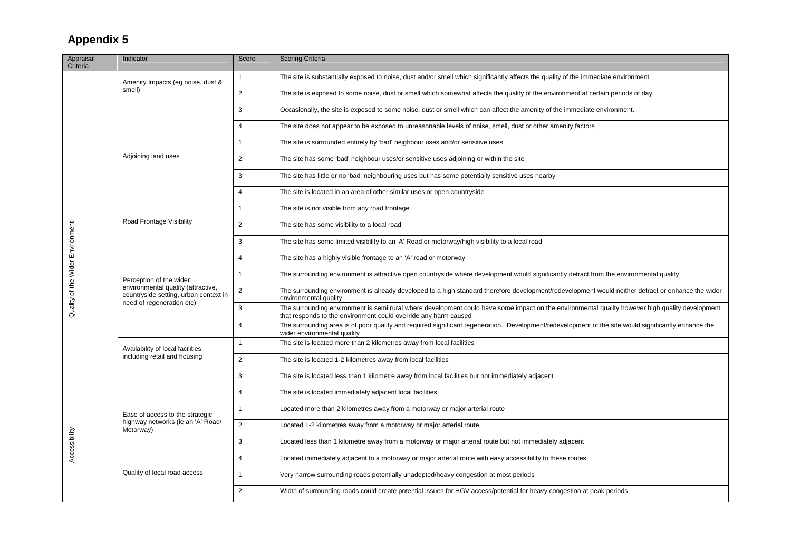| Appraisal<br>Criteria            | Indicator                                                                                              | Score          | <b>Scoring Criteria</b>                                                                                                                                                                                             |
|----------------------------------|--------------------------------------------------------------------------------------------------------|----------------|---------------------------------------------------------------------------------------------------------------------------------------------------------------------------------------------------------------------|
|                                  | Amenity Impacts (eg noise, dust &<br>smell)                                                            |                | The site is substantially exposed to noise, dust and/or smell which significantly affects the quality of the immediate environment.                                                                                 |
|                                  |                                                                                                        | $\overline{2}$ | The site is exposed to some noise, dust or smell which somewhat affects the quality of the environment at certain periods of day.                                                                                   |
|                                  |                                                                                                        | 3              | Occasionally, the site is exposed to some noise, dust or smell which can affect the amenity of the immediate environment.                                                                                           |
|                                  |                                                                                                        | $\overline{4}$ | The site does not appear to be exposed to unreasonable levels of noise, smell, dust or other amenity factors                                                                                                        |
|                                  |                                                                                                        | 1              | The site is surrounded entirely by 'bad' neighbour uses and/or sensitive uses                                                                                                                                       |
|                                  | Adjoining land uses                                                                                    | $\overline{2}$ | The site has some 'bad' neighbour uses/or sensitive uses adjoining or within the site                                                                                                                               |
|                                  |                                                                                                        | 3              | The site has little or no 'bad' neighbouring uses but has some potentially sensitive uses nearby                                                                                                                    |
|                                  |                                                                                                        | $\overline{4}$ | The site is located in an area of other similar uses or open countryside                                                                                                                                            |
|                                  |                                                                                                        | 1              | The site is not visible from any road frontage                                                                                                                                                                      |
|                                  | Road Frontage Visibility                                                                               | $\overline{2}$ | The site has some visibility to a local road                                                                                                                                                                        |
|                                  |                                                                                                        | 3              | The site has some limited visibility to an 'A' Road or motorway/high visibility to a local road                                                                                                                     |
|                                  |                                                                                                        | $\overline{4}$ | The site has a highly visible frontage to an 'A' road or motorway                                                                                                                                                   |
|                                  | Perception of the wider<br>environmental quality (attractive,<br>countryside setting, urban context in | $\mathbf{1}$   | The surrounding environment is attractive open countryside where development would significantly detract from the environmental quality                                                                             |
| Quality of the Wider Environment |                                                                                                        | $\overline{2}$ | The surrounding environment is already developed to a high standard therefore development/redevelopment would neither detract or enhance the wider<br>environmental quality                                         |
|                                  | need of regeneration etc)                                                                              | 3              | The surrounding environment is semi rural where development could have some impact on the environmental quality however high quality development<br>that responds to the environment could override any harm caused |
|                                  |                                                                                                        | $\overline{4}$ | The surrounding area is of poor quality and required significant regeneration. Development/redevelopment of the site would significantly enhance the<br>wider environmental quality                                 |
|                                  | Availability of local facilities<br>including retail and housing                                       | $\mathbf{1}$   | The site is located more than 2 kilometres away from local facilities                                                                                                                                               |
|                                  |                                                                                                        | $\overline{2}$ | The site is located 1-2 kilometres away from local facilities                                                                                                                                                       |
|                                  |                                                                                                        | 3              | The site is located less than 1 kilometre away from local facilities but not immediately adjacent                                                                                                                   |
|                                  |                                                                                                        | $\overline{4}$ | The site is located immediately adjacent local facilities                                                                                                                                                           |
| Accessibility                    | Ease of access to the strategic<br>highway networks (ie an 'A' Road/<br>Motorway)                      | 1              | Located more than 2 kilometres away from a motorway or major arterial route                                                                                                                                         |
|                                  |                                                                                                        | $\overline{2}$ | Located 1-2 kilometres away from a motorway or major arterial route                                                                                                                                                 |
|                                  |                                                                                                        | 3              | Located less than 1 kilometre away from a motorway or major arterial route but not immediately adjacent                                                                                                             |
|                                  |                                                                                                        | $\overline{4}$ | Located immediately adjacent to a motorway or major arterial route with easy accessibility to these routes                                                                                                          |
|                                  | Quality of local road access                                                                           | $\mathbf{1}$   | Very narrow surrounding roads potentially unadopted/heavy congestion at most periods                                                                                                                                |
|                                  |                                                                                                        | $\overline{2}$ | Width of surrounding roads could create potential issues for HGV access/potential for heavy congestion at peak periods                                                                                              |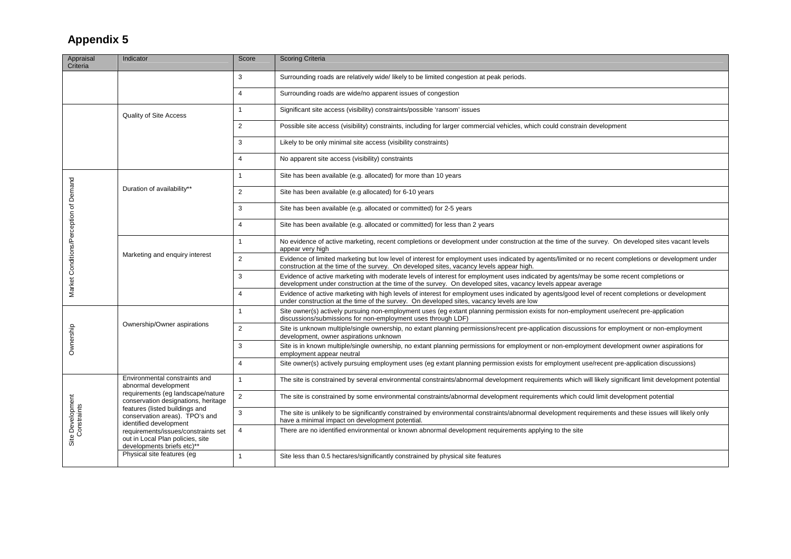| Appraisal<br>Criteria                  | Indicator                                                                                                                                                                                             | Score          | <b>Scoring Criteria</b>                                                                                                                                                                                                                                |
|----------------------------------------|-------------------------------------------------------------------------------------------------------------------------------------------------------------------------------------------------------|----------------|--------------------------------------------------------------------------------------------------------------------------------------------------------------------------------------------------------------------------------------------------------|
|                                        |                                                                                                                                                                                                       | 3              | Surrounding roads are relatively wide/ likely to be limited congestion at peak periods.                                                                                                                                                                |
|                                        |                                                                                                                                                                                                       | $\overline{4}$ | Surrounding roads are wide/no apparent issues of congestion                                                                                                                                                                                            |
|                                        | Quality of Site Access                                                                                                                                                                                | $\overline{1}$ | Significant site access (visibility) constraints/possible 'ransom' issues                                                                                                                                                                              |
|                                        |                                                                                                                                                                                                       | $\overline{2}$ | Possible site access (visibility) constraints, including for larger commercial vehicles, which could constrain development                                                                                                                             |
|                                        |                                                                                                                                                                                                       | 3              | Likely to be only minimal site access (visibility constraints)                                                                                                                                                                                         |
|                                        |                                                                                                                                                                                                       | $\overline{4}$ | No apparent site access (visibility) constraints                                                                                                                                                                                                       |
|                                        |                                                                                                                                                                                                       | $\overline{1}$ | Site has been available (e.g. allocated) for more than 10 years                                                                                                                                                                                        |
|                                        | Duration of availability**                                                                                                                                                                            | $\overline{2}$ | Site has been available (e.g allocated) for 6-10 years                                                                                                                                                                                                 |
|                                        |                                                                                                                                                                                                       | 3              | Site has been available (e.g. allocated or committed) for 2-5 years                                                                                                                                                                                    |
|                                        |                                                                                                                                                                                                       | $\overline{4}$ | Site has been available (e.g. allocated or committed) for less than 2 years                                                                                                                                                                            |
|                                        |                                                                                                                                                                                                       | $\overline{1}$ | No evidence of active marketing, recent completions or development under construction at the time of the survey. On developed sites vacant levels<br>appear very high                                                                                  |
| Market Conditions/Perception of Demand | Marketing and enquiry interest                                                                                                                                                                        | $\overline{2}$ | Evidence of limited marketing but low level of interest for employment uses indicated by agents/limited or no recent completions or development under<br>construction at the time of the survey. On developed sites, vacancy levels appear high.       |
|                                        |                                                                                                                                                                                                       | 3              | Evidence of active marketing with moderate levels of interest for employment uses indicated by agents/may be some recent completions or<br>development under construction at the time of the survey. On developed sites, vacancy levels appear average |
|                                        |                                                                                                                                                                                                       | $\overline{4}$ | Evidence of active marketing with high levels of interest for employment uses indicated by agents/good level of recent completions or development<br>under construction at the time of the survey. On developed sites, vacancy levels are low          |
|                                        | Ownership/Owner aspirations                                                                                                                                                                           | $\overline{1}$ | Site owner(s) actively pursuing non-employment uses (eg extant planning permission exists for non-employment use/recent pre-application<br>discussions/submissions for non-employment uses through LDF)                                                |
| Ownership                              |                                                                                                                                                                                                       | $\overline{2}$ | Site is unknown multiple/single ownership, no extant planning permissions/recent pre-application discussions for employment or non-employment<br>development, owner aspirations unknown                                                                |
|                                        |                                                                                                                                                                                                       | 3              | Site is in known multiple/single ownership, no extant planning permissions for employment or non-employment development owner aspirations for<br>employment appear neutral                                                                             |
|                                        |                                                                                                                                                                                                       | $\overline{4}$ | Site owner(s) actively pursuing employment uses (eg extant planning permission exists for employment use/recent pre-application discussions)                                                                                                           |
|                                        | Environmental constraints and<br>abnormal development<br>requirements (eg landscape/nature<br>conservation designations, heritage<br>features (listed buildings and<br>conservation areas). TPO's and | $\overline{1}$ | The site is constrained by several environmental constraints/abnormal development requirements which will likely significant limit development potential                                                                                               |
| Site Development<br>Constraints        |                                                                                                                                                                                                       | $\overline{2}$ | The site is constrained by some environmental constraints/abnormal development requirements which could limit development potential                                                                                                                    |
|                                        |                                                                                                                                                                                                       | 3              | The site is unlikely to be significantly constrained by environmental constraints/abnormal development requirements and these issues will likely only<br>have a minimal impact on development potential.                                               |
|                                        | identified development<br>requirements/issues/constraints set<br>out in Local Plan policies, site<br>developments briefs etc)**                                                                       | $\overline{4}$ | There are no identified environmental or known abnormal development requirements applying to the site                                                                                                                                                  |
|                                        | Physical site features (eg                                                                                                                                                                            | $\overline{1}$ | Site less than 0.5 hectares/significantly constrained by physical site features                                                                                                                                                                        |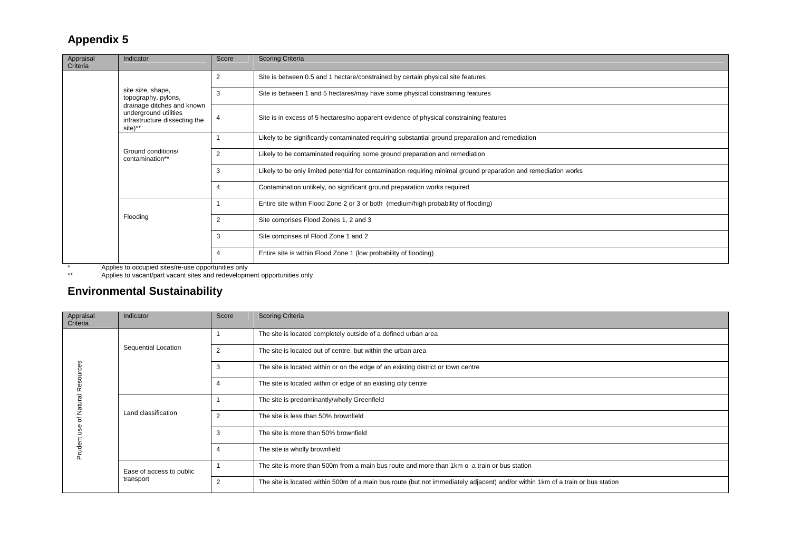| Appraisal<br>Criteria | Indicator                                                                                       | Score | <b>Scoring Criteria</b>                                                                                          |
|-----------------------|-------------------------------------------------------------------------------------------------|-------|------------------------------------------------------------------------------------------------------------------|
|                       |                                                                                                 |       | Site is between 0.5 and 1 hectare/constrained by certain physical site features                                  |
|                       | site size, shape,<br>topography, pylons,                                                        | 3     | Site is between 1 and 5 hectares/may have some physical constraining features                                    |
|                       | drainage ditches and known<br>underground utilities<br>infrastructure dissecting the<br>site)** |       | Site is in excess of 5 hectares/no apparent evidence of physical constraining features                           |
|                       | Ground conditions/<br>contamination**                                                           |       | Likely to be significantly contaminated requiring substantial ground preparation and remediation                 |
|                       |                                                                                                 |       | Likely to be contaminated requiring some ground preparation and remediation                                      |
|                       |                                                                                                 | 3     | Likely to be only limited potential for contamination requiring minimal ground preparation and remediation works |
|                       |                                                                                                 |       | Contamination unlikely, no significant ground preparation works required                                         |
|                       | Flooding                                                                                        |       | Entire site within Flood Zone 2 or 3 or both (medium/high probability of flooding)                               |
|                       |                                                                                                 |       | Site comprises Flood Zones 1, 2 and 3                                                                            |
|                       |                                                                                                 | 3     | Site comprises of Flood Zone 1 and 2                                                                             |
|                       |                                                                                                 | 4     | Entire site is within Flood Zone 1 (low probability of flooding)                                                 |

\* Applies to occupied sites/re-use opportunities only

\*\* Applies to vacant/part vacant sites and redevelopment opportunities only

# **Environmental Sustainability**

| Appraisal<br>Criteria    | Indicator                             | Score          | <b>Scoring Criteria</b>                                                                                                        |
|--------------------------|---------------------------------------|----------------|--------------------------------------------------------------------------------------------------------------------------------|
|                          | Sequential Location                   |                | The site is located completely outside of a defined urban area                                                                 |
|                          |                                       | $\overline{2}$ | The site is located out of centre, but within the urban area                                                                   |
|                          |                                       |                | The site is located within or on the edge of an existing district or town centre                                               |
| $\alpha$                 |                                       |                | The site is located within or edge of an existing city centre                                                                  |
| $\overline{a}$<br>Natur. | Land classification                   |                | The site is predominantly/wholly Greenfield                                                                                    |
|                          |                                       | $\overline{2}$ | The site is less than 50% brownfield                                                                                           |
|                          |                                       | 3              | The site is more than 50% brownfield                                                                                           |
|                          |                                       |                | The site is wholly brownfield                                                                                                  |
|                          | Ease of access to public<br>transport |                | The site is more than 500m from a main bus route and more than 1km o a train or bus station                                    |
|                          |                                       | $\overline{2}$ | The site is located within 500m of a main bus route (but not immediately adjacent) and/or within 1km of a train or bus station |